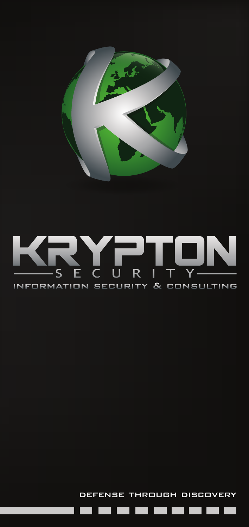

# defense through discovery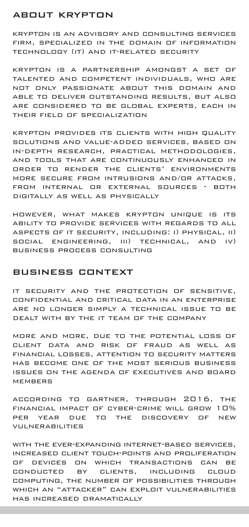# about krypton

krypton is an advisory and consulting services firm, specialized in the domain of information technology (it) and it-related security

krypton is a partnership amongst a set of talented and competent individuals, who are not only passionate about this domain and able to deliver outstanding results, but also are considered to be global experts, each in their field of specialization

krypton provides its clients with high quality solutions and value-added services, based on in-depth research, practical methodologies, and tools that are continuously enhanced in order to render the clients' environments more secure from intrusions and/or attacks, from internal or external sources - both digitally as well as physically

however, what makes krypton unique is its ability to provide services with regards to all aspects of it security, including: i) physical, ii) social engineering, iii) technical, and iv) business process consulting

## business context

it security and the protection of sensitive, confidential and critical data in an enterprise are no longer simply a technical issue to be dealt with by the it team of the company

more and more, due to the potential loss of client data and risk of fraud as well as financial losses, attention to security matters has become one of the most serious business issues on the agenda of executives and board **MEMBERS** 

according to gartner, through 2016, the financial impact of cyber-crime will grow 10% per year due to the discovery of new vulnerabilities

with the ever-expanding internet-based services, increased client touch-points and proliferation of devices on which transactions can be conducted by clients, including cloud computing, the number of possibilities through which an "attacker" can exploit vulnerabilities has increased dramatically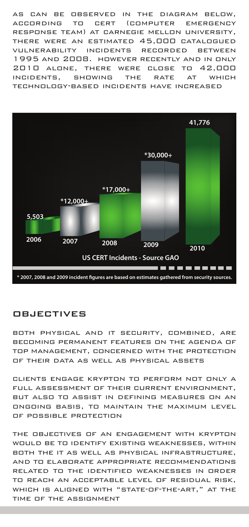as can be observed in the diagram below, according to cert (computer emergency response team) at carnegie mellon university, there were an estimated 45,000 catalogued vulnerability incidents recorded between 1995 and 2008. however recently and in only 2010 alone, there were close to 42,000 incidents, showing the rate at which technology-based incidents have increased



# **OBJECTIVES**

both physical and it security, combined, are becoming permanent features on the agenda of top management, concerned with the protection of their data as well as physical assets

clients engage krypton to perform not only a full assessment of their current environment, but also to assist in defining measures on an ongoing basis, to maintain the maximum level of possible protection

the objectives of an engagement with krypton would be to identify existing weaknesses, within both the it as well as physical infrastructure, and to elaborate appropriate recommendations related to the identified weaknesses in order to reach an acceptable level of residual risk, which is aligned with "state-of-the-art," at the time of the assignment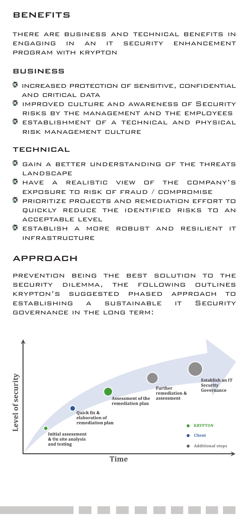# **BENEFITS**

there are business and technical benefits in engaging in an it security enhancement program with krypton

#### **BUSINESS**

- $\textcircled{\tiny{I}}$  increased protection of sensitive, confidential and critical data
- improved culture and awareness of Security risks by the management and the employees
- G establishment of a technical and physical risk management culture

#### technical

- G GAIN A BETTER UNDERSTANDING OF THE THREATS landscape
- O have a realistic view of the company's exposure to risk of fraud / compromise
- prioritize projects and remediation effort to quickly reduce the identified risks to an acceptable level
- G establish a more robust and resilient it infrastructure

#### approach

prevention being the best solution to the security dilemma, the following outlines krypton's suggested phased approach to establishing a sustainable it Security governance in the long term:



Time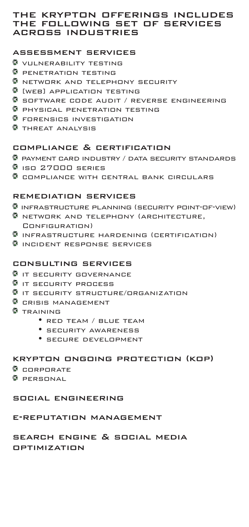## the krypton offerings includes the following set of services across industries

## assessment services

- **W** VULNERABILITY TESTING
- **PENETRATION TESTING**
- **B** NETWORK AND TELEPHONY SECURITY
- **[**WEB] APPLICATION TESTING
- **G** SOFTWARE CODE AUDIT / REVERSE ENGINEERING
- $\,$  PHYSICAL PENETRATION TESTING
- **G** FORENSICS INVESTIGATION
- **THREAT ANALYSIS**

#### compliance & certification

- payment card industry / data security standards
- $9$  iso  $27000$  series
- **C** COMPLIANCE WITH CENTRAL BANK CIRCULARS

#### remediation services

- **INFRASTRUCTURE PLANNING (SECURITY POINT-OF-VIEW)**
- **B** NETWORK AND TELEPHONY (ARCHITECTURE, Configuration)
- $\bullet$  infrastructure hardening (certification)
- **C** INCIDENT RESPONSE SERVICES

#### consulting services

- **G** IT SECURITY GOVERNANCE
- **I** IT SECURITY PROCESS
- $\textcircled{\textsf{s}}$  it security structure/organization
- **G** CRISIS MANAGEMENT
- **C** TRAINING
	- red team / blue team
	- security awareness
	- secure development

# krypton ongoing protection (kop)

- $\bullet$  copporate
- *D* PERSONAL

#### social engineering

# e-reputation management

# search engine & social media

optimization